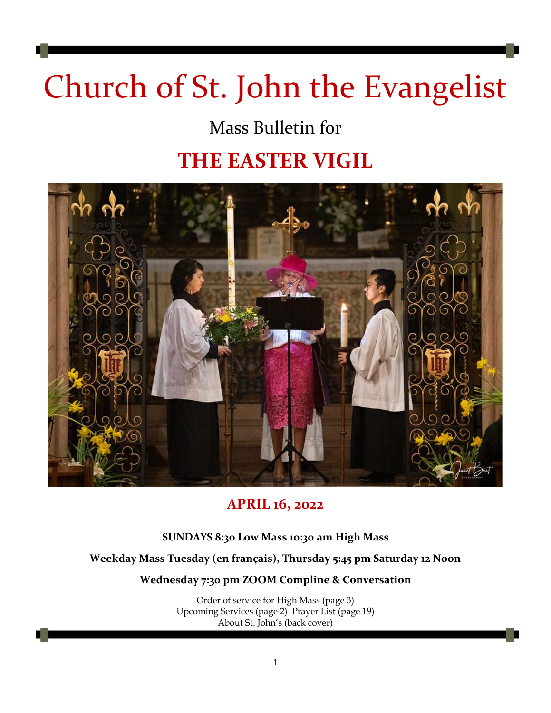# Church of St. John the Evangelist

# Mass Bulletin for

# **THE EASTER VIGIL**



### **APRIL 16, 2022**

### **SUNDAYS 8:30 Low Mass 10:30 am High Mass**

### **Weekday Mass Tuesday (en français), Thursday 5:45 pm Saturday 12 Noon**

### **Wednesday 7:30 pm ZOOM Compline & Conversation**

Order of service for High Mass (page 3) Upcoming Services (page 2) Prayer List (page 19) About St. John's (back cover)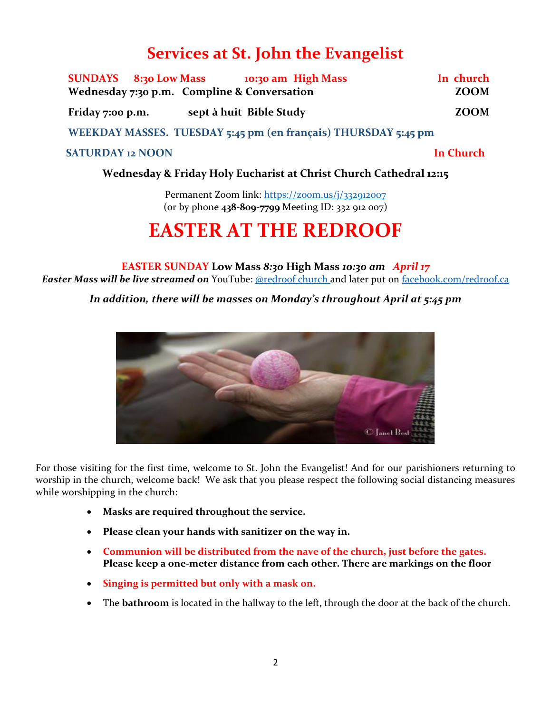### **Services at St. John the Evangelist**

| SUNDAYS 8:30 Low Mass 10:30 am High Mass                                                                       |                         | In church        |  |
|----------------------------------------------------------------------------------------------------------------|-------------------------|------------------|--|
| Wednesday 7:30 p.m. Compline & Conversation                                                                    |                         | <b>ZOOM</b>      |  |
| Friday 7:00 p.m.                                                                                               | sept à huit Bible Study | <b>ZOOM</b>      |  |
| WEEKDAY MASSES. TUESDAY 5:45 pm (en français) THURSDAY 5:45 pm                                                 |                         |                  |  |
| <b>SATURDAY 12 NOON</b>                                                                                        |                         | <b>In Church</b> |  |
| THE REPORT OF THE REPORT OF REAL PROPERTY OF THE PERSON IS TO PERSON THE REAL PROPERTY OF THE REAL PROPERTY OF |                         |                  |  |

### **Wednesday & Friday Holy Eucharist at Christ Church Cathedral 12:15**

Permanent Zoom link:<https://zoom.us/j/332912007> (or by phone **438-809-7799** Meeting ID: 332 912 007)

# **EASTER AT THE REDROOF**

### **EASTER SUNDAY Low Mass** *8:30* **High Mass** *10:30 am April 17*

*Easter Mass will be live streamed on* YouTube: [@redroof church](https://www.youtube.com/channel/UCwbXGa7DEPvTyeBjEdoqT1w) and later put on [facebook.com/redroof.ca](https://www.facebook.com/redroof.ca)

*In addition, there will be masses on Monday's throughout April at 5:45 pm*



For those visiting for the first time, welcome to St. John the Evangelist! And for our parishioners returning to worship in the church, welcome back! We ask that you please respect the following social distancing measures while worshipping in the church:

- **Masks are required throughout the service.**
- **Please clean your hands with sanitizer on the way in.**
- **Communion will be distributed from the nave of the church, just before the gates. Please keep a one-meter distance from each other. There are markings on the floor**
- **Singing is permitted but only with a mask on.**
- The **bathroom** is located in the hallway to the left, through the door at the back of the church.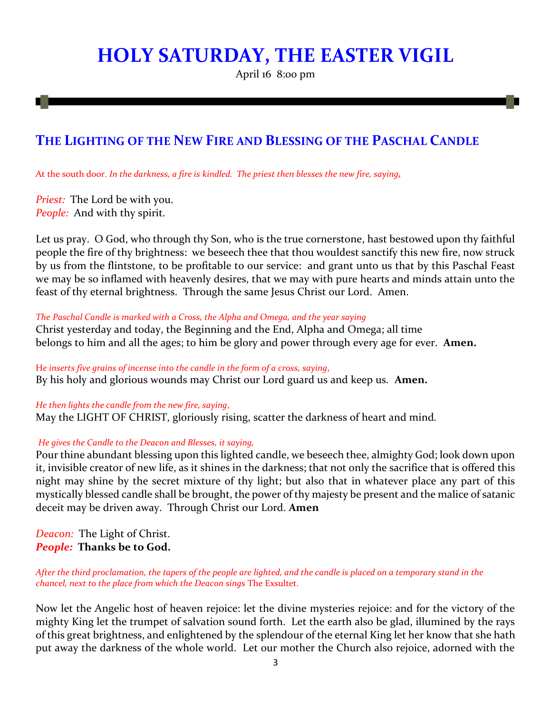# **HOLY SATURDAY, THE EASTER VIGIL**

April 16 8:00 pm

### **THE LIGHTING OF THE NEW FIRE AND BLESSING OF THE PASCHAL CANDLE**

At the south door. *In the darkness, a fire is kindled. The priest then blesses the new fire, saying,*

*Priest:* The Lord be with you. *People:* And with thy spirit.

Let us pray. O God, who through thy Son, who is the true cornerstone, hast bestowed upon thy faithful people the fire of thy brightness: we beseech thee that thou wouldest sanctify this new fire, now struck by us from the flintstone, to be profitable to our service: and grant unto us that by this Paschal Feast we may be so inflamed with heavenly desires, that we may with pure hearts and minds attain unto the feast of thy eternal brightness. Through the same Jesus Christ our Lord. Amen.

*The Paschal Candle is marked with a Cross, the Alpha and Omega, and the year saying*

Christ yesterday and today, the Beginning and the End, Alpha and Omega; all time belongs to him and all the ages; to him be glory and power through every age for ever. **Amen.**

H*e inserts five grains of incense into the candle in the form of a cross, saying*, By his holy and glorious wounds may Christ our Lord guard us and keep us*.* **Amen.**

*He then lights the candle from the new fire, saying*, May the LIGHT OF CHRIST, gloriously rising, scatter the darkness of heart and mind*.*

*He gives the Candle to the Deacon and Blesses, it saying,* 

Pour thine abundant blessing upon this lighted candle, we beseech thee, almighty God; look down upon it, invisible creator of new life, as it shines in the darkness; that not only the sacrifice that is offered this night may shine by the secret mixture of thy light; but also that in whatever place any part of this mystically blessed candle shall be brought, the power of thy majesty be present and the malice of satanic deceit may be driven away. Through Christ our Lord. **Amen**

*Deacon:* The Light of Christ. *People:* **Thanks be to God.**

*After the third proclamation, the tapers of the people are lighted, and the candle is placed on a temporary stand in the chancel, next to the place from which the Deacon sings* The Exsultet.

Now let the Angelic host of heaven rejoice: let the divine mysteries rejoice: and for the victory of the mighty King let the trumpet of salvation sound forth. Let the earth also be glad, illumined by the rays of this great brightness, and enlightened by the splendour of the eternal King let her know that she hath put away the darkness of the whole world. Let our mother the Church also rejoice, adorned with the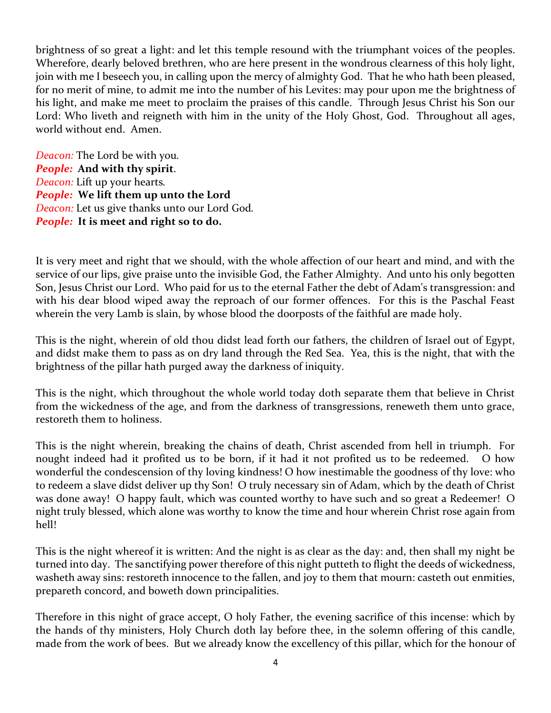brightness of so great a light: and let this temple resound with the triumphant voices of the peoples. Wherefore, dearly beloved brethren, who are here present in the wondrous clearness of this holy light, join with me I beseech you, in calling upon the mercy of almighty God. That he who hath been pleased, for no merit of mine, to admit me into the number of his Levites: may pour upon me the brightness of his light, and make me meet to proclaim the praises of this candle. Through Jesus Christ his Son our Lord: Who liveth and reigneth with him in the unity of the Holy Ghost, God. Throughout all ages, world without end. Amen.

*Deacon:* The Lord be with you*. People:* **And with thy spirit**. *Deacon:* Lift up your hearts*. People:* **We lift them up unto the Lord** *Deacon:* Let us give thanks unto our Lord God*. People:* **It is meet and right so to do.**

It is very meet and right that we should, with the whole affection of our heart and mind, and with the service of our lips, give praise unto the invisible God, the Father Almighty. And unto his only begotten Son, Jesus Christ our Lord. Who paid for us to the eternal Father the debt of Adam's transgression: and with his dear blood wiped away the reproach of our former offences. For this is the Paschal Feast wherein the very Lamb is slain, by whose blood the doorposts of the faithful are made holy.

This is the night, wherein of old thou didst lead forth our fathers, the children of Israel out of Egypt, and didst make them to pass as on dry land through the Red Sea. Yea, this is the night, that with the brightness of the pillar hath purged away the darkness of iniquity.

This is the night, which throughout the whole world today doth separate them that believe in Christ from the wickedness of the age, and from the darkness of transgressions, reneweth them unto grace, restoreth them to holiness.

This is the night wherein, breaking the chains of death, Christ ascended from hell in triumph. For nought indeed had it profited us to be born, if it had it not profited us to be redeemed. O how wonderful the condescension of thy loving kindness! O how inestimable the goodness of thy love: who to redeem a slave didst deliver up thy Son! O truly necessary sin of Adam, which by the death of Christ was done away! O happy fault, which was counted worthy to have such and so great a Redeemer! O night truly blessed, which alone was worthy to know the time and hour wherein Christ rose again from hell!

This is the night whereof it is written: And the night is as clear as the day: and, then shall my night be turned into day. The sanctifying power therefore of this night putteth to flight the deeds of wickedness, washeth away sins: restoreth innocence to the fallen, and joy to them that mourn: casteth out enmities, prepareth concord, and boweth down principalities.

Therefore in this night of grace accept, O holy Father, the evening sacrifice of this incense: which by the hands of thy ministers, Holy Church doth lay before thee, in the solemn offering of this candle, made from the work of bees. But we already know the excellency of this pillar, which for the honour of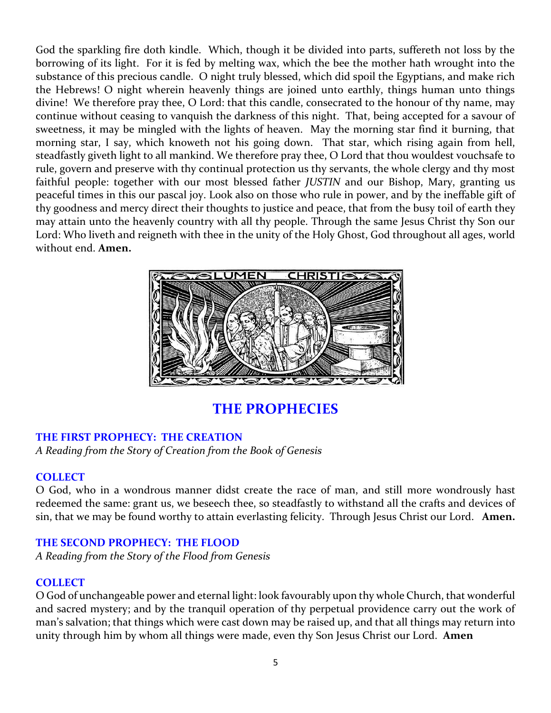God the sparkling fire doth kindle. Which, though it be divided into parts, suffereth not loss by the borrowing of its light. For it is fed by melting wax, which the bee the mother hath wrought into the substance of this precious candle. O night truly blessed, which did spoil the Egyptians, and make rich the Hebrews! O night wherein heavenly things are joined unto earthly, things human unto things divine! We therefore pray thee, O Lord: that this candle, consecrated to the honour of thy name, may continue without ceasing to vanquish the darkness of this night. That, being accepted for a savour of sweetness, it may be mingled with the lights of heaven. May the morning star find it burning, that morning star, I say, which knoweth not his going down. That star, which rising again from hell, steadfastly giveth light to all mankind. We therefore pray thee, O Lord that thou wouldest vouchsafe to rule, govern and preserve with thy continual protection us thy servants, the whole clergy and thy most faithful people: together with our most blessed father *JUSTIN* and our Bishop, Mary, granting us peaceful times in this our pascal joy. Look also on those who rule in power, and by the ineffable gift of thy goodness and mercy direct their thoughts to justice and peace, that from the busy toil of earth they may attain unto the heavenly country with all thy people. Through the same Jesus Christ thy Son our Lord: Who liveth and reigneth with thee in the unity of the Holy Ghost, God throughout all ages, world without end. **Amen.**



**THE PROPHECIES**

### **THE FIRST PROPHECY: THE CREATION**

*A Reading from the Story of Creation from the Book of Genesis*

### **COLLECT**

O God, who in a wondrous manner didst create the race of man, and still more wondrously hast redeemed the same: grant us, we beseech thee, so steadfastly to withstand all the crafts and devices of sin, that we may be found worthy to attain everlasting felicity. Through Jesus Christ our Lord. **Amen.**

### **THE SECOND PROPHECY: THE FLOOD**

*A Reading from the Story of the Flood from Genesis*

### **COLLECT**

O God of unchangeable power and eternal light: look favourably upon thy whole Church, that wonderful and sacred mystery; and by the tranquil operation of thy perpetual providence carry out the work of man's salvation; that things which were cast down may be raised up, and that all things may return into unity through him by whom all things were made, even thy Son Jesus Christ our Lord. **Amen**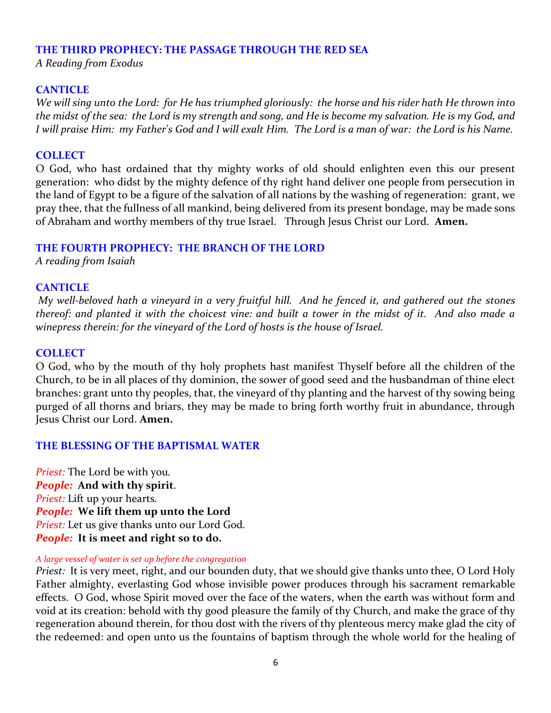### **THE THIRD PROPHECY: THE PASSAGE THROUGH THE RED SEA**

*A Reading from Exodus*

### **CANTICLE**

*We will sing unto the Lord: for He has triumphed gloriously: the horse and his rider hath He thrown into the midst of the sea: the Lord is my strength and song, and He is become my salvation. He is my God, and I will praise Him: my Father's God and I will exalt Him. The Lord is a man of war: the Lord is his Name.*

### **COLLECT**

O God, who hast ordained that thy mighty works of old should enlighten even this our present generation: who didst by the mighty defence of thy right hand deliver one people from persecution in the land of Egypt to be a figure of the salvation of all nations by the washing of regeneration: grant, we pray thee, that the fullness of all mankind, being delivered from its present bondage, may be made sons of Abraham and worthy members of thy true Israel. Through Jesus Christ our Lord. **Amen.**

### **THE FOURTH PROPHECY: THE BRANCH OF THE LORD**

*A reading from Isaiah* 

### **CANTICLE**

*My well-beloved hath a vineyard in a very fruitful hill. And he fenced it, and gathered out the stones thereof: and planted it with the choicest vine: and built a tower in the midst of it. And also made a winepress therein: for the vineyard of the Lord of hosts is the house of Israel.*

### **COLLECT**

O God, who by the mouth of thy holy prophets hast manifest Thyself before all the children of the Church, to be in all places of thy dominion, the sower of good seed and the husbandman of thine elect branches: grant unto thy peoples, that, the vineyard of thy planting and the harvest of thy sowing being purged of all thorns and briars, they may be made to bring forth worthy fruit in abundance, through Jesus Christ our Lord. **Amen.**

### **THE BLESSING OF THE BAPTISMAL WATER**

*Priest:* The Lord be with you*. People:* **And with thy spirit**. *Priest:* Lift up your hearts*. People:* **We lift them up unto the Lord** *Priest:* Let us give thanks unto our Lord God*. People:* **It is meet and right so to do.**

#### *A large vessel of water is set up before the congregation*

*Priest:* It is very meet, right, and our bounden duty, that we should give thanks unto thee, O Lord Holy Father almighty, everlasting God whose invisible power produces through his sacrament remarkable effects. O God, whose Spirit moved over the face of the waters, when the earth was without form and void at its creation: behold with thy good pleasure the family of thy Church, and make the grace of thy regeneration abound therein, for thou dost with the rivers of thy plenteous mercy make glad the city of the redeemed: and open unto us the fountains of baptism through the whole world for the healing of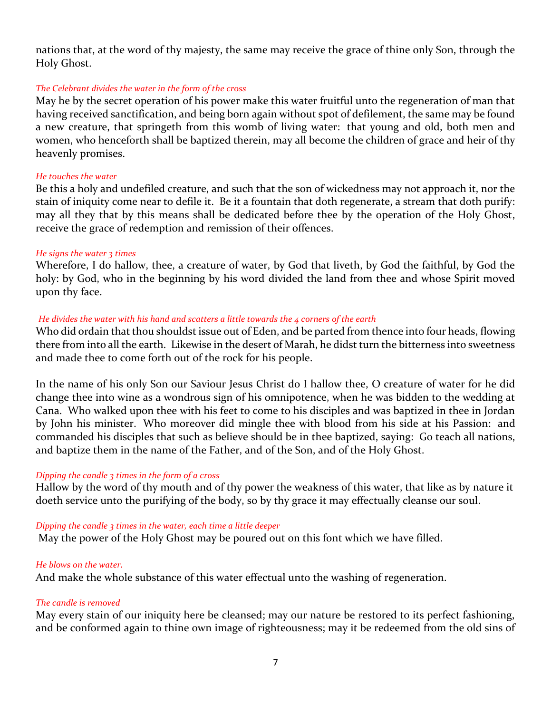nations that, at the word of thy majesty, the same may receive the grace of thine only Son, through the Holy Ghost.

### *The Celebrant divides the water in the form of the cross*

May he by the secret operation of his power make this water fruitful unto the regeneration of man that having received sanctification, and being born again without spot of defilement, the same may be found a new creature, that springeth from this womb of living water: that young and old, both men and women, who henceforth shall be baptized therein, may all become the children of grace and heir of thy heavenly promises.

#### *He touches the water*

Be this a holy and undefiled creature, and such that the son of wickedness may not approach it, nor the stain of iniquity come near to defile it. Be it a fountain that doth regenerate, a stream that doth purify: may all they that by this means shall be dedicated before thee by the operation of the Holy Ghost, receive the grace of redemption and remission of their offences.

#### *He signs the water 3 times*

Wherefore, I do hallow, thee, a creature of water, by God that liveth, by God the faithful, by God the holy: by God, who in the beginning by his word divided the land from thee and whose Spirit moved upon thy face.

### *He divides the water with his hand and scatters a little towards the 4 corners of the earth*

Who did ordain that thou shouldst issue out of Eden, and be parted from thence into four heads, flowing there from into all the earth. Likewise in the desert of Marah, he didst turn the bitterness into sweetness and made thee to come forth out of the rock for his people.

In the name of his only Son our Saviour Jesus Christ do I hallow thee, O creature of water for he did change thee into wine as a wondrous sign of his omnipotence, when he was bidden to the wedding at Cana. Who walked upon thee with his feet to come to his disciples and was baptized in thee in Jordan by John his minister. Who moreover did mingle thee with blood from his side at his Passion: and commanded his disciples that such as believe should be in thee baptized, saying: Go teach all nations, and baptize them in the name of the Father, and of the Son, and of the Holy Ghost.

### *Dipping the candle 3 times in the form of a cross*

Hallow by the word of thy mouth and of thy power the weakness of this water, that like as by nature it doeth service unto the purifying of the body, so by thy grace it may effectually cleanse our soul.

#### *Dipping the candle 3 times in the water, each time a little deeper*

May the power of the Holy Ghost may be poured out on this font which we have filled.

### *He blows on the water.*

And make the whole substance of this water effectual unto the washing of regeneration.

#### *The candle is removed*

May every stain of our iniquity here be cleansed; may our nature be restored to its perfect fashioning, and be conformed again to thine own image of righteousness; may it be redeemed from the old sins of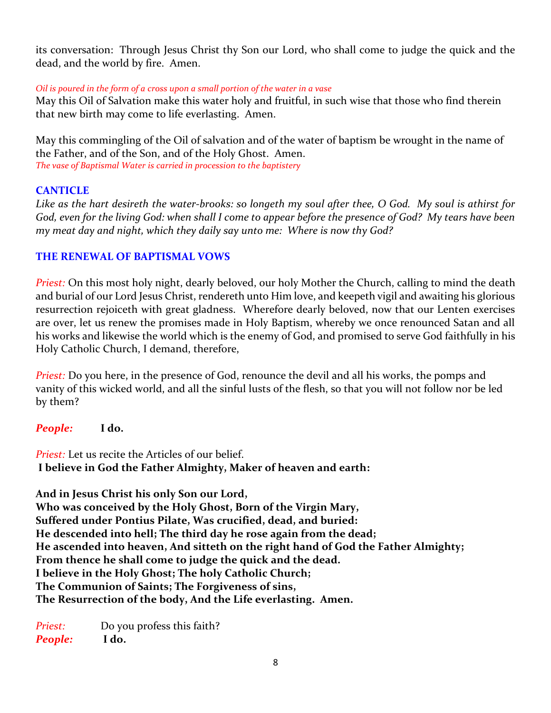its conversation: Through Jesus Christ thy Son our Lord, who shall come to judge the quick and the dead, and the world by fire. Amen.

### *Oil is poured in the form of a cross upon a small portion of the water in a vase*

May this Oil of Salvation make this water holy and fruitful, in such wise that those who find therein that new birth may come to life everlasting. Amen.

May this commingling of the Oil of salvation and of the water of baptism be wrought in the name of the Father, and of the Son, and of the Holy Ghost. Amen. *The vase of Baptismal Water is carried in procession to the baptistery*

### **CANTICLE**

*Like as the hart desireth the water-brooks: so longeth my soul after thee, O God. My soul is athirst for God, even for the living God: when shall I come to appear before the presence of God? My tears have been my meat day and night, which they daily say unto me: Where is now thy God?*

### **THE RENEWAL OF BAPTISMAL VOWS**

*Priest:* On this most holy night, dearly beloved, our holy Mother the Church, calling to mind the death and burial of our Lord Jesus Christ, rendereth unto Him love, and keepeth vigil and awaiting his glorious resurrection rejoiceth with great gladness. Wherefore dearly beloved, now that our Lenten exercises are over, let us renew the promises made in Holy Baptism, whereby we once renounced Satan and all his works and likewise the world which is the enemy of God, and promised to serve God faithfully in his Holy Catholic Church, I demand, therefore,

*Priest:* Do you here, in the presence of God, renounce the devil and all his works, the pomps and vanity of this wicked world, and all the sinful lusts of the flesh, so that you will not follow nor be led by them?

*People:* **I do.**

*Priest:* Let us recite the Articles of our belief. **I believe in God the Father Almighty, Maker of heaven and earth:**

**And in Jesus Christ his only Son our Lord, Who was conceived by the Holy Ghost, Born of the Virgin Mary, Suffered under Pontius Pilate, Was crucified, dead, and buried: He descended into hell; The third day he rose again from the dead; He ascended into heaven, And sitteth on the right hand of God the Father Almighty; From thence he shall come to judge the quick and the dead. I believe in the Holy Ghost; The holy Catholic Church; The Communion of Saints; The Forgiveness of sins, The Resurrection of the body, And the Life everlasting. Amen.**

*Priest:* Do you profess this faith? *People:* **I do.**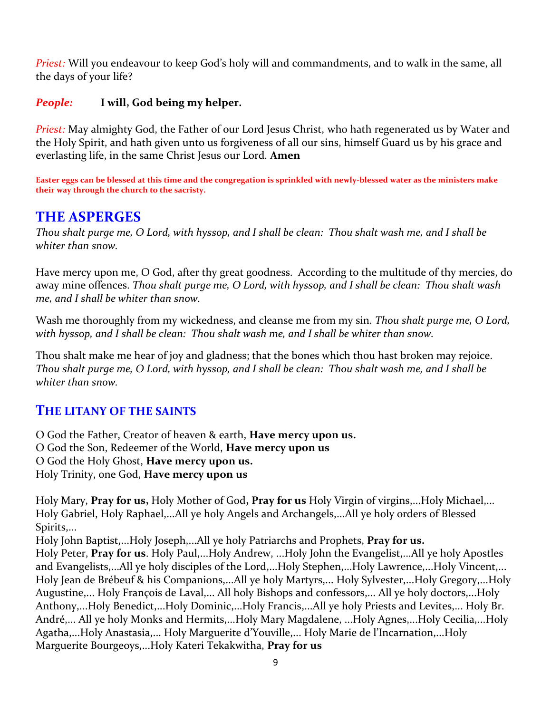*Priest:* Will you endeavour to keep God's holy will and commandments, and to walk in the same, all the days of your life?

### *People:* **I will, God being my helper.**

*Priest:* May almighty God, the Father of our Lord Jesus Christ, who hath regenerated us by Water and the Holy Spirit, and hath given unto us forgiveness of all our sins, himself Guard us by his grace and everlasting life, in the same Christ Jesus our Lord*.* **Amen**

**Easter eggs can be blessed at this time and the congregation is sprinkled with newly-blessed water as the ministers make their way through the church to the sacristy.** 

### **THE ASPERGES**

*Thou shalt purge me, O Lord, with hyssop, and I shall be clean: Thou shalt wash me, and I shall be whiter than snow.*

Have mercy upon me, O God, after thy great goodness. According to the multitude of thy mercies, do away mine offences. *Thou shalt purge me, O Lord, with hyssop, and I shall be clean: Thou shalt wash me, and I shall be whiter than snow.* 

Wash me thoroughly from my wickedness, and cleanse me from my sin. *Thou shalt purge me, O Lord, with hyssop, and I shall be clean: Thou shalt wash me, and I shall be whiter than snow.*

Thou shalt make me hear of joy and gladness; that the bones which thou hast broken may rejoice. *Thou shalt purge me, O Lord, with hyssop, and I shall be clean: Thou shalt wash me, and I shall be whiter than snow.* 

### **THE LITANY OF THE SAINTS**

O God the Father, Creator of heaven & earth, **Have mercy upon us.** O God the Son, Redeemer of the World, **Have mercy upon us** O God the Holy Ghost, **Have mercy upon us.** Holy Trinity, one God, **Have mercy upon us**

Holy Mary, **Pray for us,** Holy Mother of God**, Pray for us** Holy Virgin of virgins,...Holy Michael,... Holy Gabriel, Holy Raphael,...All ye holy Angels and Archangels,...All ye holy orders of Blessed Spirits,...

Holy John Baptist,...Holy Joseph,...All ye holy Patriarchs and Prophets, **Pray for us.** Holy Peter, **Pray for us**. Holy Paul,...Holy Andrew, ...Holy John the Evangelist,...All ye holy Apostles and Evangelists,...All ye holy disciples of the Lord,...Holy Stephen,...Holy Lawrence,...Holy Vincent,... Holy Jean de Brébeuf & his Companions,...All ye holy Martyrs,... Holy Sylvester,...Holy Gregory,...Holy Augustine,... Holy François de Laval,... All holy Bishops and confessors,... All ye holy doctors,...Holy Anthony,...Holy Benedict,...Holy Dominic,...Holy Francis,...All ye holy Priests and Levites,... Holy Br. André,... All ye holy Monks and Hermits,...Holy Mary Magdalene, ...Holy Agnes,...Holy Cecilia,...Holy Agatha,...Holy Anastasia,... Holy Marguerite d'Youville,... Holy Marie de l'Incarnation,...Holy Marguerite Bourgeoys,...Holy Kateri Tekakwitha, **Pray for us**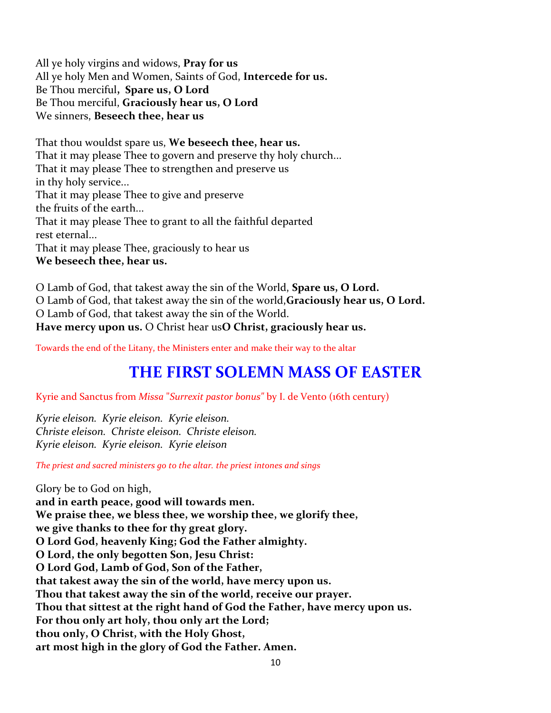All ye holy virgins and widows, **Pray for us** All ye holy Men and Women, Saints of God, **Intercede for us.** Be Thou merciful**, Spare us, O Lord** Be Thou merciful, **Graciously hear us, O Lord** We sinners, **Beseech thee, hear us**

That thou wouldst spare us, **We beseech thee, hear us.** That it may please Thee to govern and preserve thy holy church... That it may please Thee to strengthen and preserve us in thy holy service... That it may please Thee to give and preserve the fruits of the earth... That it may please Thee to grant to all the faithful departed rest eternal... That it may please Thee, graciously to hear us **We beseech thee, hear us.**

O Lamb of God, that takest away the sin of the World, **Spare us, O Lord.** O Lamb of God, that takest away the sin of the world,**Graciously hear us, O Lord.** O Lamb of God, that takest away the sin of the World. **Have mercy upon us.** O Christ hear us**O Christ, graciously hear us.**

Towards the end of the Litany, the Ministers enter and make their way to the altar

### **THE FIRST SOLEMN MASS OF EASTER**

Kyrie and Sanctus from *Missa* "*Surrexit pastor bonus"* by I. de Vento (16th century)

*Kyrie eleison. Kyrie eleison. Kyrie eleison. Christe eleison. Christe eleison. Christe eleison. Kyrie eleison. Kyrie eleison. Kyrie eleison*

*The priest and sacred ministers go to the altar. the priest intones and sings*

Glory be to God on high, **and in earth peace, good will towards men. We praise thee, we bless thee, we worship thee, we glorify thee, we give thanks to thee for thy great glory. O Lord God, heavenly King; God the Father almighty. O Lord, the only begotten Son, Jesu Christ: O Lord God, Lamb of God, Son of the Father, that takest away the sin of the world, have mercy upon us. Thou that takest away the sin of the world, receive our prayer. Thou that sittest at the right hand of God the Father, have mercy upon us. For thou only art holy, thou only art the Lord; thou only, O Christ, with the Holy Ghost, art most high in the glory of God the Father. Amen.**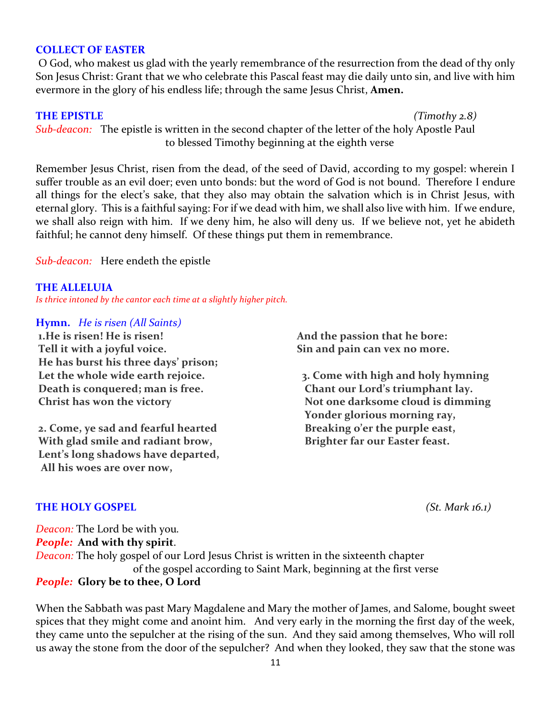#### **COLLECT OF EASTER**

O God, who makest us glad with the yearly remembrance of the resurrection from the dead of thy only Son Jesus Christ: Grant that we who celebrate this Pascal feast may die daily unto sin, and live with him evermore in the glory of his endless life; through the same Jesus Christ, **Amen.**

#### **THE EPISTLE** *(Timothy 2.8)*

*Sub-deacon:* The epistle is written in the second chapter of the letter of the holy Apostle Paul to blessed Timothy beginning at the eighth verse

Remember Jesus Christ, risen from the dead, of the seed of David, according to my gospel: wherein I suffer trouble as an evil doer; even unto bonds: but the word of God is not bound. Therefore I endure all things for the elect's sake, that they also may obtain the salvation which is in Christ Jesus, with eternal glory. This is a faithful saying: For if we dead with him, we shall also live with him. If we endure, we shall also reign with him. If we deny him, he also will deny us. If we believe not, yet he abideth faithful; he cannot deny himself. Of these things put them in remembrance.

*Sub-deacon:* Here endeth the epistle

#### **THE ALLELUIA**

*Is thrice intoned by the cantor each time at a slightly higher pitch.*

#### **Hymn.** *He is risen (All Saints)*

**1.He is risen! He is risen! Tell it with a joyful voice. He has burst his three days' prison; Let the whole wide earth rejoice. Death is conquered; man is free. Christ has won the victory**

**2. Come, ye sad and fearful hearted With glad smile and radiant brow, Lent's long shadows have departed, All his woes are over now,**

 **And the passion that he bore: Sin and pain can vex no more.**

 **3. Come with high and holy hymning Chant our Lord's triumphant lay. Not one darksome cloud is dimming Yonder glorious morning ray, Breaking o'er the purple east, Brighter far our Easter feast.**

**THE HOLY GOSPEL** *(St. Mark 16.1)* 

*Deacon:* The Lord be with you*. People:* **And with thy spirit**. *Deacon:* The holy gospel of our Lord Jesus Christ is written in the sixteenth chapter of the gospel according to Saint Mark, beginning at the first verse *People:* **Glory be to thee, O Lord**

When the Sabbath was past Mary Magdalene and Mary the mother of James, and Salome, bought sweet spices that they might come and anoint him. And very early in the morning the first day of the week, they came unto the sepulcher at the rising of the sun. And they said among themselves, Who will roll us away the stone from the door of the sepulcher? And when they looked, they saw that the stone was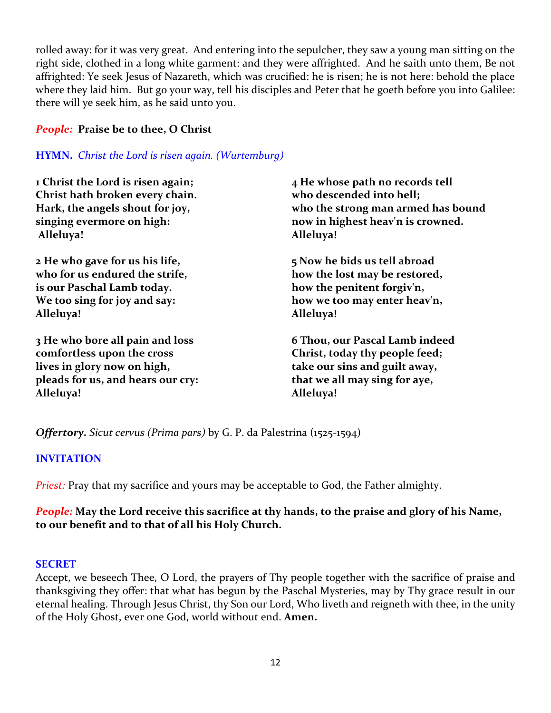rolled away: for it was very great. And entering into the sepulcher, they saw a young man sitting on the right side, clothed in a long white garment: and they were affrighted. And he saith unto them, Be not affrighted: Ye seek Jesus of Nazareth, which was crucified: he is risen; he is not here: behold the place where they laid him. But go your way, tell his disciples and Peter that he goeth before you into Galilee: there will ye seek him, as he said unto you.

### *People:* **Praise be to thee, O Christ**

### **HYMN.** *Christ the Lord is risen again. (Wurtemburg)*

| 1 Christ the Lord is risen again; | 4 He whose path no records tell    |
|-----------------------------------|------------------------------------|
| Christ hath broken every chain.   | who descended into hell;           |
| Hark, the angels shout for joy,   | who the strong man armed has bound |
| singing evermore on high:         | now in highest heav'n is crowned.  |
| Alleluya!                         | Alleluya!                          |
| 2 He who gave for us his life,    | 5 Now he bids us tell abroad       |
| who for us endured the strife,    | how the lost may be restored,      |
| is our Paschal Lamb today.        | how the penitent forgiv'n,         |
| We too sing for joy and say:      | how we too may enter heav'n,       |
| Alleluya!                         | Alleluya!                          |
| 3 He who bore all pain and loss   | 6 Thou, our Pascal Lamb indeed     |
| comfortless upon the cross        | Christ, today thy people feed;     |
| lives in glory now on high,       | take our sins and guilt away,      |
| pleads for us, and hears our cry: | that we all may sing for aye,      |
| Alleluya!                         | Alleluya!                          |

*Offertory. Sicut cervus (Prima pars)* by G. P. da Palestrina (1525-1594)

### **INVITATION**

*Priest:* Pray that my sacrifice and yours may be acceptable to God, the Father almighty.

### *People:* **May the Lord receive this sacrifice at thy hands, to the praise and glory of his Name, to our benefit and to that of all his Holy Church.**

### **SECRET**

Accept, we beseech Thee, O Lord, the prayers of Thy people together with the sacrifice of praise and thanksgiving they offer: that what has begun by the Paschal Mysteries, may by Thy grace result in our eternal healing. Through Jesus Christ, thy Son our Lord, Who liveth and reigneth with thee, in the unity of the Holy Ghost, ever one God, world without end. **Amen.**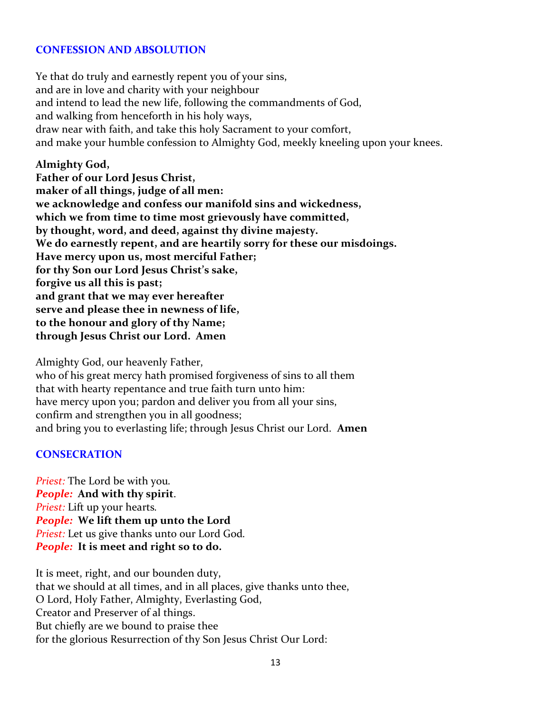### **CONFESSION AND ABSOLUTION**

Ye that do truly and earnestly repent you of your sins, and are in love and charity with your neighbour and intend to lead the new life, following the commandments of God, and walking from henceforth in his holy ways, draw near with faith, and take this holy Sacrament to your comfort, and make your humble confession to Almighty God, meekly kneeling upon your knees.

### **Almighty God,**

**Father of our Lord Jesus Christ, maker of all things, judge of all men: we acknowledge and confess our manifold sins and wickedness, which we from time to time most grievously have committed, by thought, word, and deed, against thy divine majesty. We do earnestly repent, and are heartily sorry for these our misdoings. Have mercy upon us, most merciful Father; for thy Son our Lord Jesus Christ's sake, forgive us all this is past; and grant that we may ever hereafter serve and please thee in newness of life, to the honour and glory of thy Name; through Jesus Christ our Lord. Amen**

Almighty God, our heavenly Father, who of his great mercy hath promised forgiveness of sins to all them that with hearty repentance and true faith turn unto him: have mercy upon you; pardon and deliver you from all your sins, confirm and strengthen you in all goodness; and bring you to everlasting life; through Jesus Christ our Lord. **Amen**

### **CONSECRATION**

*Priest:* The Lord be with you*. People:* **And with thy spirit**. *Priest:* Lift up your hearts*. People:* **We lift them up unto the Lord** *Priest:* Let us give thanks unto our Lord God*. People:* **It is meet and right so to do.**

It is meet, right, and our bounden duty, that we should at all times, and in all places, give thanks unto thee, O Lord, Holy Father, Almighty, Everlasting God, Creator and Preserver of al things. But chiefly are we bound to praise thee for the glorious Resurrection of thy Son Jesus Christ Our Lord: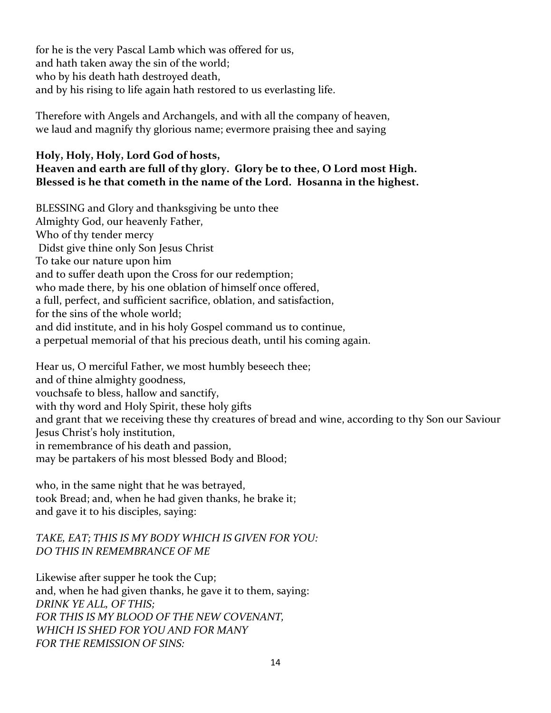for he is the very Pascal Lamb which was offered for us, and hath taken away the sin of the world; who by his death hath destroyed death, and by his rising to life again hath restored to us everlasting life.

Therefore with Angels and Archangels, and with all the company of heaven, we laud and magnify thy glorious name; evermore praising thee and saying

### **Holy, Holy, Holy, Lord God of hosts, Heaven and earth are full of thy glory. Glory be to thee, O Lord most High. Blessed is he that cometh in the name of the Lord. Hosanna in the highest.**

BLESSING and Glory and thanksgiving be unto thee Almighty God, our heavenly Father, Who of thy tender mercy Didst give thine only Son Jesus Christ To take our nature upon him and to suffer death upon the Cross for our redemption; who made there, by his one oblation of himself once offered, a full, perfect, and sufficient sacrifice, oblation, and satisfaction, for the sins of the whole world; and did institute, and in his holy Gospel command us to continue, a perpetual memorial of that his precious death, until his coming again.

Hear us, O merciful Father, we most humbly beseech thee; and of thine almighty goodness, vouchsafe to bless, hallow and sanctify, with thy word and Holy Spirit, these holy gifts and grant that we receiving these thy creatures of bread and wine, according to thy Son our Saviour Jesus Christ's holy institution, in remembrance of his death and passion, may be partakers of his most blessed Body and Blood;

who, in the same night that he was betrayed, took Bread; and, when he had given thanks, he brake it; and gave it to his disciples, saying:

### *TAKE, EAT; THIS IS MY BODY WHICH IS GIVEN FOR YOU: DO THIS IN REMEMBRANCE OF ME*

Likewise after supper he took the Cup; and, when he had given thanks, he gave it to them, saying: *DRINK YE ALL, OF THIS; FOR THIS IS MY BLOOD OF THE NEW COVENANT, WHICH IS SHED FOR YOU AND FOR MANY FOR THE REMISSION OF SINS:*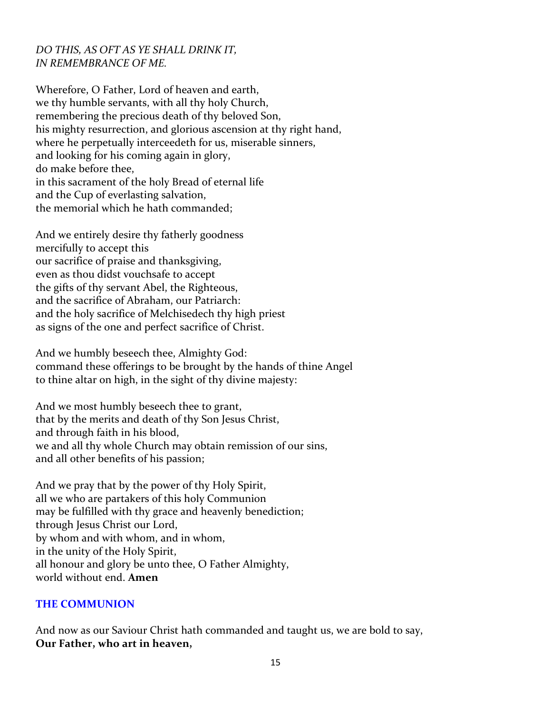### *DO THIS, AS OFT AS YE SHALL DRINK IT, IN REMEMBRANCE OF ME.*

Wherefore, O Father, Lord of heaven and earth, we thy humble servants, with all thy holy Church, remembering the precious death of thy beloved Son, his mighty resurrection, and glorious ascension at thy right hand, where he perpetually interceedeth for us, miserable sinners, and looking for his coming again in glory, do make before thee, in this sacrament of the holy Bread of eternal life and the Cup of everlasting salvation, the memorial which he hath commanded;

And we entirely desire thy fatherly goodness mercifully to accept this our sacrifice of praise and thanksgiving, even as thou didst vouchsafe to accept the gifts of thy servant Abel, the Righteous, and the sacrifice of Abraham, our Patriarch: and the holy sacrifice of Melchisedech thy high priest as signs of the one and perfect sacrifice of Christ.

And we humbly beseech thee, Almighty God: command these offerings to be brought by the hands of thine Angel to thine altar on high, in the sight of thy divine majesty:

And we most humbly beseech thee to grant, that by the merits and death of thy Son Jesus Christ, and through faith in his blood, we and all thy whole Church may obtain remission of our sins, and all other benefits of his passion;

And we pray that by the power of thy Holy Spirit, all we who are partakers of this holy Communion may be fulfilled with thy grace and heavenly benediction; through Jesus Christ our Lord, by whom and with whom, and in whom, in the unity of the Holy Spirit, all honour and glory be unto thee, O Father Almighty, world without end. **Amen**

### **THE COMMUNION**

And now as our Saviour Christ hath commanded and taught us, we are bold to say, **Our Father, who art in heaven,**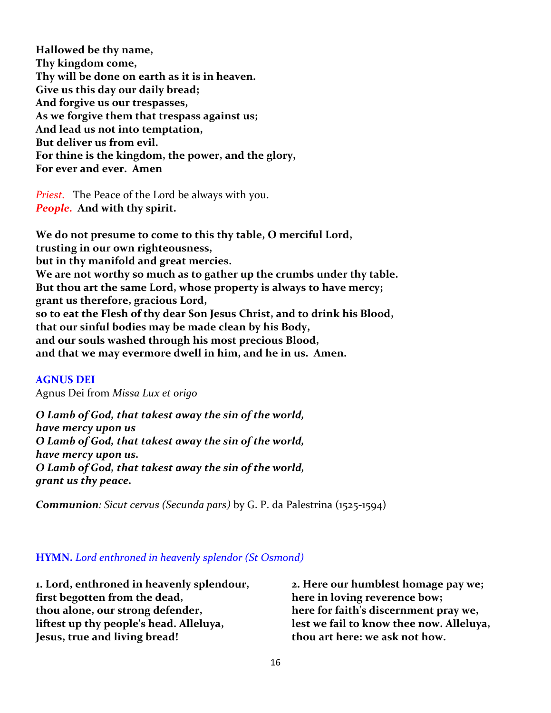**Hallowed be thy name, Thy kingdom come, Thy will be done on earth as it is in heaven. Give us this day our daily bread; And forgive us our trespasses, As we forgive them that trespass against us; And lead us not into temptation, But deliver us from evil. For thine is the kingdom, the power, and the glory, For ever and ever. Amen**

*Priest.* The Peace of the Lord be always with you. *People.* **And with thy spirit.**

**We do not presume to come to this thy table, O merciful Lord, trusting in our own righteousness, but in thy manifold and great mercies. We are not worthy so much as to gather up the crumbs under thy table. But thou art the same Lord, whose property is always to have mercy; grant us therefore, gracious Lord, so to eat the Flesh of thy dear Son Jesus Christ, and to drink his Blood, that our sinful bodies may be made clean by his Body, and our souls washed through his most precious Blood, and that we may evermore dwell in him, and he in us. Amen.**

### **AGNUS DEI**

Agnus Dei from *Missa Lux et origo*

*O Lamb of God, that takest away the sin of the world, have mercy upon us O Lamb of God, that takest away the sin of the world, have mercy upon us. O Lamb of God, that takest away the sin of the world, grant us thy peace.*

*Communion: Sicut cervus (Secunda pars)* by G. P. da Palestrina (1525-1594)

### **HYMN.** *Lord enthroned in heavenly splendor (St Osmond)*

**1. Lord, enthroned in heavenly splendour, first begotten from the dead, thou alone, our strong defender, liftest up thy people's head. Alleluya, Jesus, true and living bread!**

**2. Here our humblest homage pay we; here in loving reverence bow; here for faith's discernment pray we, lest we fail to know thee now. Alleluya, thou art here: we ask not how.**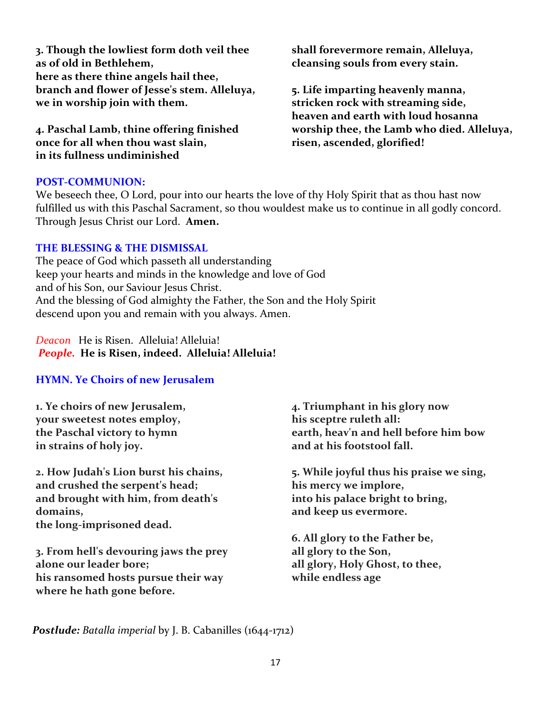*Postlude: Batalla imperial* by J. B. Cabanilles (1644-1712)

17

**3. Though the lowliest form doth veil thee as of old in Bethlehem, here as there thine angels hail thee, branch and flower of Jesse's stem. Alleluya, we in worship join with them.**

**4. Paschal Lamb, thine offering finished once for all when thou wast slain, in its fullness undiminished**

**shall forevermore remain, Alleluya, cleansing souls from every stain.**

**5. Life imparting heavenly manna, stricken rock with streaming side, heaven and earth with loud hosanna worship thee, the Lamb who died. Alleluya, risen, ascended, glorified!**

### **POST-COMMUNION:**

We beseech thee, O Lord, pour into our hearts the love of thy Holy Spirit that as thou hast now fulfilled us with this Paschal Sacrament, so thou wouldest make us to continue in all godly concord. Through Jesus Christ our Lord. **Amen.**

### **THE BLESSING & THE DISMISSAL**

The peace of God which passeth all understanding keep your hearts and minds in the knowledge and love of God and of his Son, our Saviour Jesus Christ. And the blessing of God almighty the Father, the Son and the Holy Spirit descend upon you and remain with you always. Amen.

*Deacon* He is Risen. Alleluia! Alleluia! *People.* **He is Risen, indeed. Alleluia! Alleluia!**

### **HYMN. Ye Choirs of new Jerusalem**

**1. Ye choirs of new Jerusalem, your sweetest notes employ, the Paschal victory to hymn in strains of holy joy.**

**2. How Judah's Lion burst his chains, and crushed the serpent's head; and brought with him, from death's domains, the long-imprisoned dead.**

**3. From hell's devouring jaws the prey alone our leader bore; his ransomed hosts pursue their way where he hath gone before.**

**4. Triumphant in his glory now his sceptre ruleth all: earth, heav'n and hell before him bow and at his footstool fall.**

**5. While joyful thus his praise we sing, his mercy we implore, into his palace bright to bring, and keep us evermore.**

**6. All glory to the Father be, all glory to the Son, all glory, Holy Ghost, to thee, while endless age**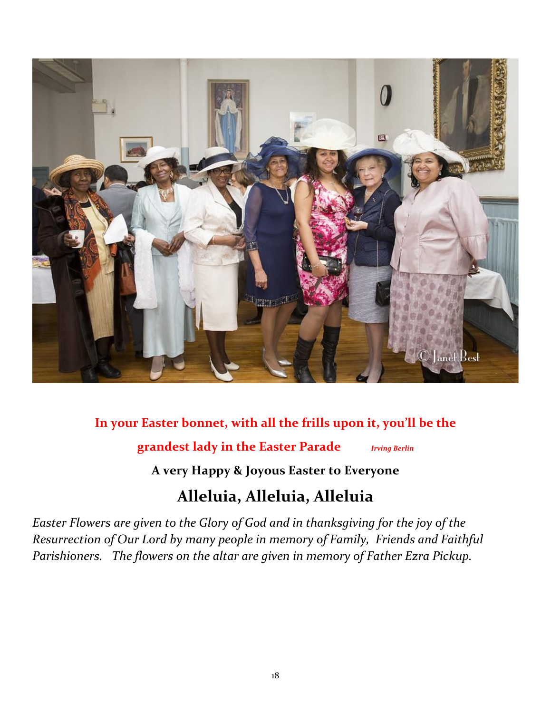

### **In your Easter bonnet, with all the frills upon it, you'll be the**

**grandest lady in the Easter Parade** *Irving Berlin*

**A very Happy & Joyous Easter to Everyone**

## **Alleluia, Alleluia, Alleluia**

*Easter Flowers are given to the Glory of God and in thanksgiving for the joy of the Resurrection of Our Lord by many people in memory of Family, Friends and Faithful Parishioners. The flowers on the altar are given in memory of Father Ezra Pickup.*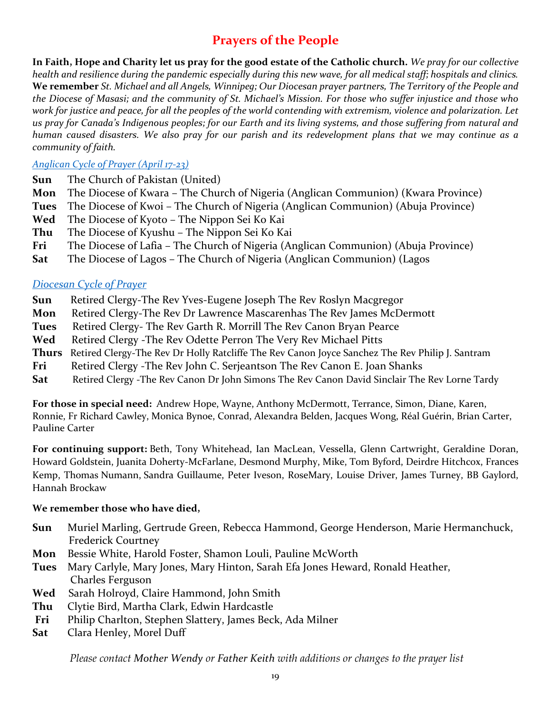### **Prayers of the People**

**In Faith, Hope and Charity let us pray for the good estate of the Catholic church.** *We pray for our collective health and resilience during the pandemic especially during this new wave, for all medical staff; hospitals and clinics.* **We remember** *St. Michael and all Angels, Winnipeg; Our Diocesan prayer partners, The Territory of the People and the Diocese of Masasi; and the community of St. Michael's Mission. For those who suffer injustice and those who work for justice and peace, for all the peoples of the world contending with extremism, violence and polarization. Let us pray for Canada's Indigenous peoples; for our Earth and its living systems, and those suffering from natural and human caused disasters. We also pray for our parish and its redevelopment plans that we may continue as a community of faith.*

### *[Anglican Cycle of Prayer \(April 17-23\)](https://anglicancommunion.org/media/422641/acp_from-aba-to-zululand-2021-to-2023_web.pdf)*

- **Sun** The Church of Pakistan (United)
- **Mon** The Diocese of Kwara The Church of Nigeria (Anglican Communion) (Kwara Province)
- **Tues** The Diocese of Kwoi The Church of Nigeria (Anglican Communion) (Abuja Province)
- **Wed** The Diocese of Kyoto The Nippon Sei Ko Kai
- **Thu** The Diocese of Kyushu The Nippon Sei Ko Kai
- **Fri** The Diocese of Lafia The Church of Nigeria (Anglican Communion) (Abuja Province)
- **Sat** The Diocese of Lagos The Church of Nigeria (Anglican Communion) (Lagos

### *[Diocesan Cycle of Prayer](https://static1.squarespace.com/static/53339102e4b00c509597c34c/t/6001f5b4514b6c73056efd5b/1610741172969/Prayer+Roster+2021.pdf)*

- **Sun** Retired Clergy-The Rev Yves-Eugene Joseph The Rev Roslyn Macgregor
- **Mon** Retired Clergy-The Rev Dr Lawrence Mascarenhas The Rev James McDermott
- Tues Retired Clergy- The Rev Garth R. Morrill The Rev Canon Bryan Pearce
- Wed Retired Clergy -The Rev Odette Perron The Very Rev Michael Pitts
- **Thurs** Retired Clergy-The Rev Dr Holly Ratcliffe The Rev Canon Joyce Sanchez The Rev Philip J. Santram
- **Fri** Retired Clergy -The Rev John C. Serjeantson The Rev Canon E. Joan Shanks
- Sat Retired Clergy -The Rev Canon Dr John Simons The Rev Canon David Sinclair The Rev Lorne Tardy

**For those in special need:** Andrew Hope, Wayne, Anthony McDermott, Terrance, Simon, Diane, Karen, Ronnie, Fr Richard Cawley, Monica Bynoe, Conrad, Alexandra Belden, Jacques Wong, Réal Guérin, Brian Carter, Pauline Carter

**For continuing support:** Beth, Tony Whitehead, Ian MacLean, Vessella, Glenn Cartwright, Geraldine Doran, Howard Goldstein, Juanita Doherty-McFarlane, Desmond Murphy, Mike, Tom Byford, Deirdre Hitchcox, Frances Kemp, Thomas Numann, Sandra Guillaume, Peter Iveson, RoseMary, Louise Driver, James Turney, BB Gaylord, Hannah Brockaw

### **We remember those who have died,**

- **Sun** Muriel Marling, Gertrude Green, Rebecca Hammond, George Henderson, Marie Hermanchuck, Frederick Courtney
- **Mon** Bessie White, Harold Foster, Shamon Louli, Pauline McWorth
- **Tues** Mary Carlyle, Mary Jones, Mary Hinton, Sarah Efa Jones Heward, Ronald Heather, Charles Ferguson
- **Wed** Sarah Holroyd, Claire Hammond, John Smith
- **Thu** Clytie Bird, Martha Clark, Edwin Hardcastle
- **Fri** Philip Charlton, Stephen Slattery, James Beck, Ada Milner
- **Sat** Clara Henley, Morel Duff

*Please contact [Mother Wendy](mailto:thurifer@hotmail.com) or [Father Keith](mailto:rector@redroof.ca) with additions or changes to the prayer list*